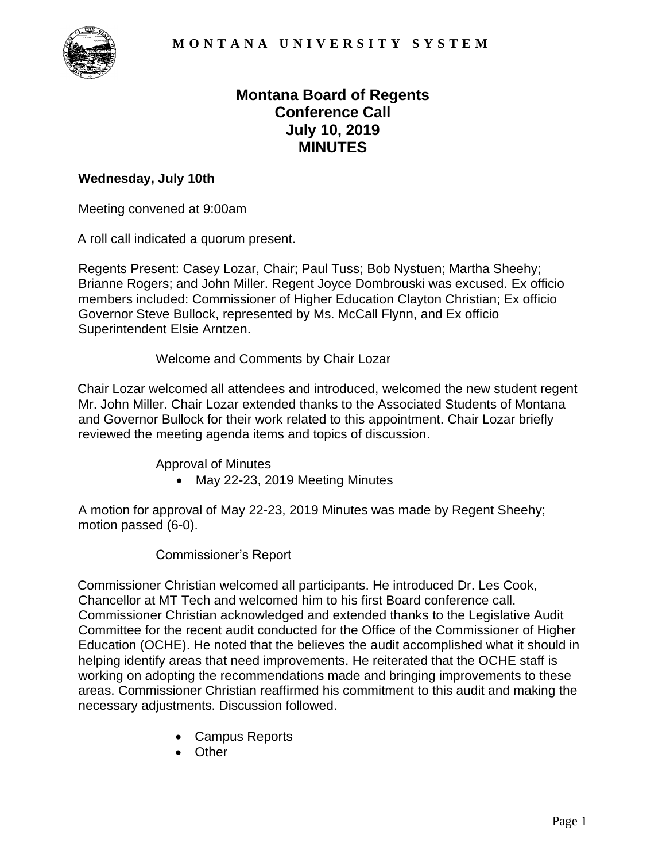

# **Montana Board of Regents Conference Call July 10, 2019 MINUTES**

#### **Wednesday, July 10th**

Meeting convened at 9:00am

A roll call indicated a quorum present.

Regents Present: Casey Lozar, Chair; Paul Tuss; Bob Nystuen; Martha Sheehy; Brianne Rogers; and John Miller. Regent Joyce Dombrouski was excused. Ex officio members included: Commissioner of Higher Education Clayton Christian; Ex officio Governor Steve Bullock, represented by Ms. McCall Flynn, and Ex officio Superintendent Elsie Arntzen.

Welcome and Comments by Chair Lozar

 Mr. John Miller. Chair Lozar extended thanks to the Associated Students of Montana and Governor Bullock for their work related to this appointment. Chair Lozar briefly reviewed the meeting agenda items and topics of discussion. Chair Lozar welcomed all attendees and introduced, welcomed the new student regent

Approval of Minutes

• May 22-23, 2019 Meeting Minutes

A motion for approval of May 22-23, 2019 Minutes was made by Regent Sheehy; motion passed (6-0).

#### Commissioner's Report

 areas. Commissioner Christian reaffirmed his commitment to this audit and making the Commissioner Christian welcomed all participants. He introduced Dr. Les Cook, Chancellor at MT Tech and welcomed him to his first Board conference call. Commissioner Christian acknowledged and extended thanks to the Legislative Audit Committee for the recent audit conducted for the Office of the Commissioner of Higher Education (OCHE). He noted that the believes the audit accomplished what it should in helping identify areas that need improvements. He reiterated that the OCHE staff is working on adopting the recommendations made and bringing improvements to these necessary adjustments. Discussion followed.

- Campus Reports
- Other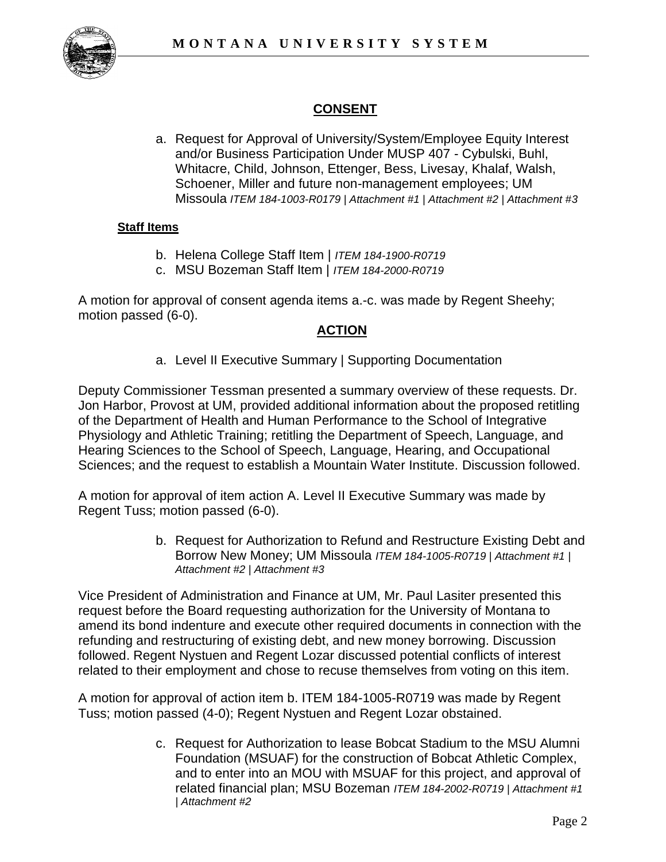

# **CONSENT**

 Whitacre, Child, Johnson, Ettenger, Bess, Livesay, Khalaf, Walsh, a. Request for Approval of University/System/Employee Equity Interest and/or Business Participation Under MUSP 407 - Cybulski, Buhl, Schoener, Miller and future non-management employees; UM Missoula *ITEM 184-1003-R0179 | Attachment #1 | Attachment #2 | Attachment #3*

#### **Staff Items**

- b. Helena College Staff Item | *ITEM 184-1900-R0719*
- c. MSU Bozeman Staff Item | *ITEM 184-2000-R0719*

A motion for approval of consent agenda items a.-c. was made by Regent Sheehy; motion passed (6-0).

#### **ACTION**

a. Level II Executive Summary | Supporting Documentation

 Deputy Commissioner Tessman presented a summary overview of these requests. Dr. Jon Harbor, Provost at UM, provided additional information about the proposed retitling of the Department of Health and Human Performance to the School of Integrative Physiology and Athletic Training; retitling the Department of Speech, Language, and Hearing Sciences to the School of Speech, Language, Hearing, and Occupational Sciences; and the request to establish a Mountain Water Institute. Discussion followed.

A motion for approval of item action A. Level II Executive Summary was made by Regent Tuss; motion passed (6-0).

> b. Request for Authorization to Refund and Restructure Existing Debt and Borrow New Money; UM Missoula *ITEM 184-1005-R0719 | Attachment #1 | Attachment #2 | Attachment #3*

 request before the Board requesting authorization for the University of Montana to refunding and restructuring of existing debt, and new money borrowing. Discussion related to their employment and chose to recuse themselves from voting on this item. Vice President of Administration and Finance at UM, Mr. Paul Lasiter presented this amend its bond indenture and execute other required documents in connection with the followed. Regent Nystuen and Regent Lozar discussed potential conflicts of interest

A motion for approval of action item b. ITEM 184-1005-R0719 was made by Regent Tuss; motion passed (4-0); Regent Nystuen and Regent Lozar obstained.

> and to enter into an MOU with MSUAF for this project, and approval of c. Request for Authorization to lease Bobcat Stadium to the MSU Alumni Foundation (MSUAF) for the construction of Bobcat Athletic Complex, related financial plan; MSU Bozeman *ITEM 184-2002-R0719 | Attachment #1 | Attachment #2*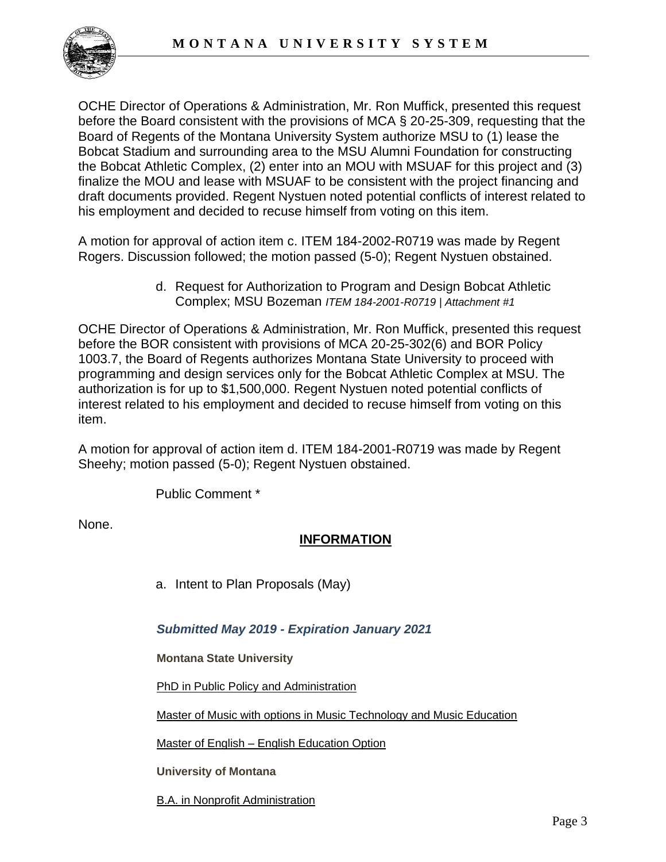

 before the Board consistent with the provisions of MCA § 20-25-309, requesting that the his employment and decided to recuse himself from voting on this item. OCHE Director of Operations & Administration, Mr. Ron Muffick, presented this request Board of Regents of the Montana University System authorize MSU to (1) lease the Bobcat Stadium and surrounding area to the MSU Alumni Foundation for constructing the Bobcat Athletic Complex, (2) enter into an MOU with MSUAF for this project and (3) finalize the MOU and lease with MSUAF to be consistent with the project financing and draft documents provided. Regent Nystuen noted potential conflicts of interest related to

A motion for approval of action item c. ITEM 184-2002-R0719 was made by Regent Rogers. Discussion followed; the motion passed (5-0); Regent Nystuen obstained.

> d. Request for Authorization to Program and Design Bobcat Athletic Complex; MSU Bozeman *ITEM 184-2001-R0719 | Attachment #1*

 interest related to his employment and decided to recuse himself from voting on this OCHE Director of Operations & Administration, Mr. Ron Muffick, presented this request before the BOR consistent with provisions of MCA 20-25-302(6) and BOR Policy 1003.7, the Board of Regents authorizes Montana State University to proceed with programming and design services only for the Bobcat Athletic Complex at MSU. The authorization is for up to \$1,500,000. Regent Nystuen noted potential conflicts of item.

A motion for approval of action item d. ITEM 184-2001-R0719 was made by Regent Sheehy; motion passed (5-0); Regent Nystuen obstained.

Public Comment \*

None.

# **INFORMATION**

a. Intent to Plan Proposals (May)

### *Submitted May 2019 - Expiration January 2021*

**Montana State University** 

[PhD in Public Policy and Administration](https://mus.edu/che/arsa/IntenttoPlan/2019/MSU_ITP_PhDPublicPolicyAdmin.pdf) 

[Master of Music with options in Music Technology and Music Education](https://mus.edu/che/arsa/IntenttoPlan/2019/MSU_Intent-to-Plan-Master-of-Music.pdf) 

Master of English – [English Education Option](https://mus.edu/che/arsa/IntenttoPlan/2019/MSU_Intent-to-Plan-Master-of-English.pdf) 

**University of Montana** 

[B.A. in Nonprofit Administration](https://mus.edu/che/arsa/IntenttoPlan/2019/UM_ITP_Nonprofit-BA.pdf)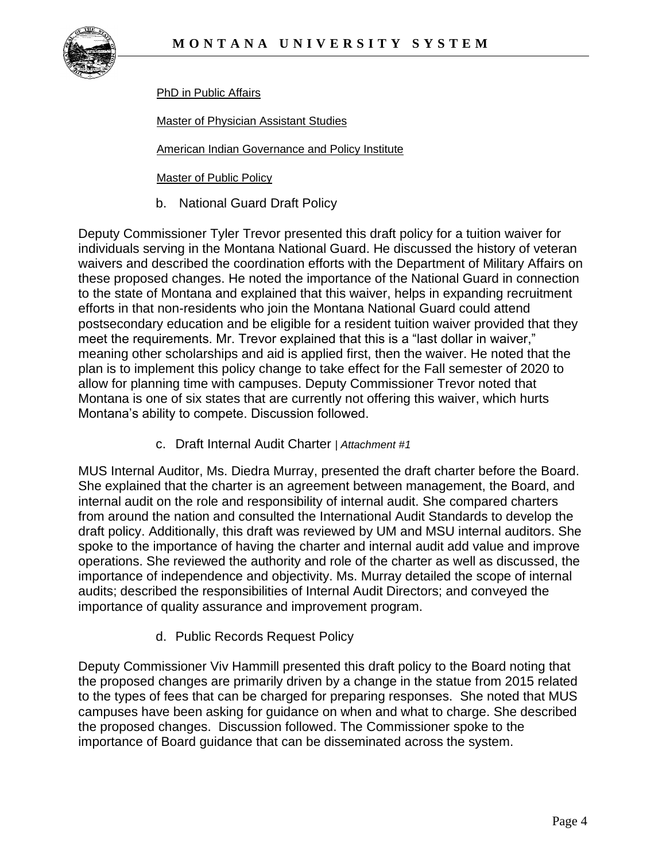

[PhD in Public Affairs](https://mus.edu/che/arsa/IntenttoPlan/2019/UM_ITP_PhD-Public-Affairs.pdf) 

[Master of Physician Assistant Studies](https://mus.edu/che/arsa/IntenttoPlan/2019/UM_ITP_PhysicianAssistant.pdf) 

[American Indian Governance and Policy Institute](https://mus.edu/che/arsa/IntenttoPlan/2019/UM_ITP_AIGPI.pdf) 

[Master of Public Policy](https://mus.edu/che/arsa/IntenttoPlan/2019/UM_ITP_Master-of-Public-Policy.pdf) 

b. National Guard Draft Policy

Deputy Commissioner Tyler Trevor presented this draft policy for a tuition waiver for individuals serving in the Montana National Guard. He discussed the history of veteran waivers and described the coordination efforts with the Department of Military Affairs on these proposed changes. He noted the importance of the National Guard in connection to the state of Montana and explained that this waiver, helps in expanding recruitment efforts in that non-residents who join the Montana National Guard could attend postsecondary education and be eligible for a resident tuition waiver provided that they meet the requirements. Mr. Trevor explained that this is a "last dollar in waiver," meaning other scholarships and aid is applied first, then the waiver. He noted that the plan is to implement this policy change to take effect for the Fall semester of 2020 to allow for planning time with campuses. Deputy Commissioner Trevor noted that Montana is one of six states that are currently not offering this waiver, which hurts Montana's ability to compete. Discussion followed.

c. Draft Internal Audit Charter | *Attachment #1* 

MUS Internal Auditor, Ms. Diedra Murray, presented the draft charter before the Board. She explained that the charter is an agreement between management, the Board, and internal audit on the role and responsibility of internal audit. She compared charters from around the nation and consulted the International Audit Standards to develop the draft policy. Additionally, this draft was reviewed by UM and MSU internal auditors. She spoke to the importance of having the charter and internal audit add value and improve operations. She reviewed the authority and role of the charter as well as discussed, the importance of independence and objectivity. Ms. Murray detailed the scope of internal audits; described the responsibilities of Internal Audit Directors; and conveyed the importance of quality assurance and improvement program.

d. Public Records Request Policy

Deputy Commissioner Viv Hammill presented this draft policy to the Board noting that the proposed changes are primarily driven by a change in the statue from 2015 related to the types of fees that can be charged for preparing responses. She noted that MUS campuses have been asking for guidance on when and what to charge. She described the proposed changes. Discussion followed. The Commissioner spoke to the importance of Board guidance that can be disseminated across the system.